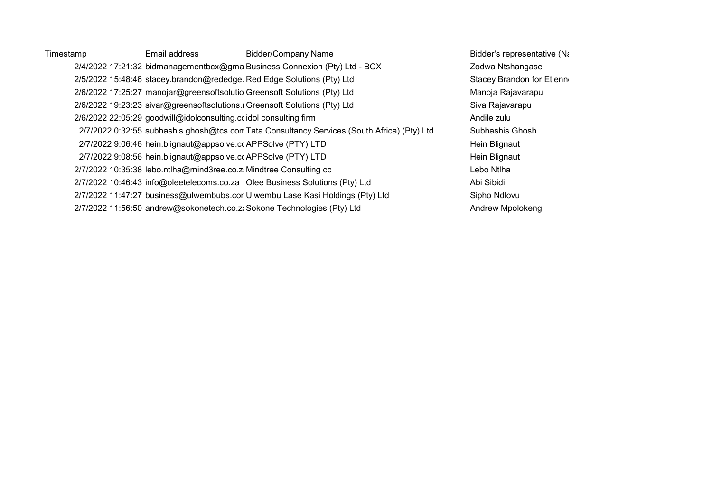Timestamp Email address Bidder/Company Name Company Name Bidder's representative (Name) 2/4/2022 17:21:32 bidmanagementbcx@gma Business Connexion (Pty) Ltd - BCX Zodwa Ntshangase 2/5/2022 15:48:46 stacey.brandon@rededge. Red Edge Solutions (Pty) Ltd Stacey Brandon for Etienne 2/6/2022 17:25:27 manojar@greensoftsolutio Greensoft Solutions (Pty) Ltd Manoja Rajavarapu 2/6/2022 19:23:23 sivar@greensoftsolutions.r Greensoft Solutions (Pty) Ltd Siva Rajavarapu 2/6/2022 22:05:29 goodwill@idolconsulting.ccidol consulting firm 2001 2002 22:05:29 goodwill@idolconsulting.ccidol consulting firm 2/7/2022 0:32:55 subhashis.ghosh@tcs.com Tata Consultancy Services (South Africa) (Pty) Ltd Subhashis Ghosh 2/7/2022 9:06:46 hein.blignaut@appsolve.cc APPSolve (PTY) LTD https://www.facebook.com/en/2022 9:06:46 hein Blignaut 2/7/2022 9:08:56 hein.blignaut@appsolve.cc APPSolve (PTY) LTD Hein Blignaut 2/7/2022 10:35:38 lebo.ntlha@mind3ree.co.zaMindtree Consulting cc Lebo Ntlha 2/7/2022 10:46:43 info@oleetelecoms.co.za Olee Business Solutions (Pty) Ltd Abi Sibidi 2/7/2022 11:47:27 business@ulwembubs.cor Ulwembu Lase Kasi Holdings (Pty) Ltd Sipho Ndlovu 2/7/2022 11:56:50 andrew@sokonetech.co.zaSokone Technologies (Pty) Ltd Andrew Mpolokeng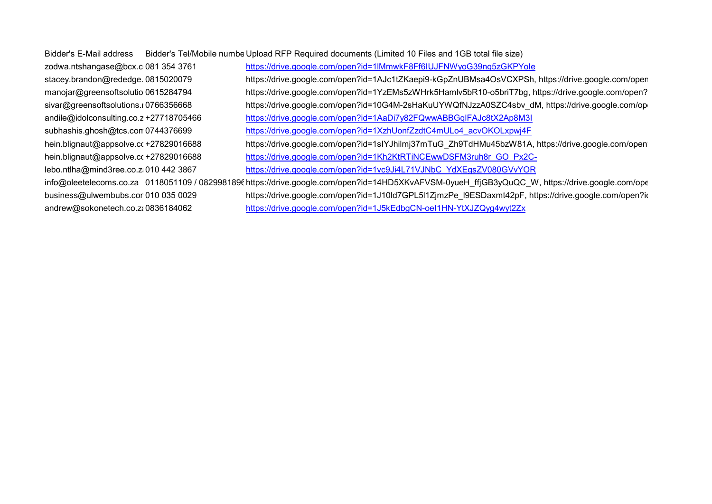| Bidder's E-Mail address | Bidder's Tel/Mobile numbe Upload RFP Required documents (Limited 10 Files and 1GB total file size) |
|-------------------------|----------------------------------------------------------------------------------------------------|
|                         |                                                                                                    |

zodwa.ntshangase@bcx.co.081 354 3761 https://drive.google.com/open?id=1lMmwkF8Ff6IUJFNWyoG39ng5zGKPYole stacey.brandon@rededge.0815020079 https://drive.google.com/open?id=1AJc1tZKaepi9-kGpZnUBMsa4OsVCXPSh, https://drive.google.com/oper manojar@greensoftsolutio 0615284794 https://drive.google.com/open?id=1YzEMs5zWHrk5Hamlv5bR10-o5briT7bg, https://drive.google.com/open? sivar@greensoftsolutions.r0766356668 https://drive.google.com/open?id=10G4M-2sHaKuUYWQfNJzzA0SZC4sbv dM, https://drive.google.com/op andile@idolconsulting.co.z+27718705466 https://drive.google.com/open?id=1AaDi7y82FQwwABBGqlFAJc8tX2Ap8M3I subhashis.ghosh@tcs.com0744376699 https://drive.google.com/open?id=1XzhUonfZzdtC4mULo4\_acvOKOLxpwj4F https://drive.google.com/open?id=1slYJhilmi37mTuG\_Zh9TdHMu45bzW81A, https://drive.google.com/open/drive.google.com/open?id=1slYJhilmi37mTuG\_Zh9TdHMu45bzW81A, https://drive.google.com/open hein.blignaut@appsolve.cc+27829016688 https://drive.google.com/open?id=1Kh2KtRTiNCEwwDSFM3ruh8r\_GO\_Px2Clebo.ntlha@mind3ree.co.zi010 442 3867 https://drive.google.com/open?id=1vc9Ji4L71VJNbC\_YdXEgsZV080GVvYOR info@oleetelecoms.co.za 0118051109 / 0829981896 https://drive.google.com/open?id=14HD5XKvAFVSM-0yueH\_ffjGB3yQuQC\_W, https://drive.google.com/ope business@ulwembubs.con010 035 0029 https://drive.google.com/open?id=1J10ld7GPL5l1ZjmzPe l9ESDaxmt42pF, https://drive.google.com/open?id andrew@sokonetech.co.za0836184062 https://drive.google.com/open?id=1J5kEdbgCN-oeI1HN-YtXJZQyg4wyt2Zx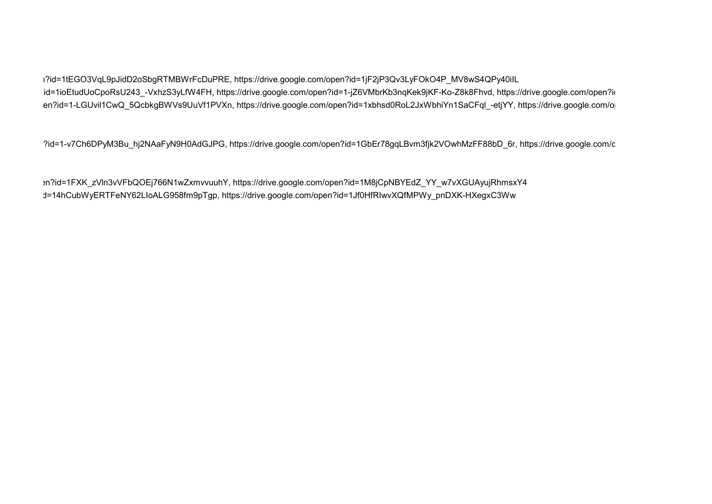https://drive.google.com/open?id=1jF2jP3Qv3LyFOkO4P\_MV8wS4QPy40ilL</a>il\_3pdd=1tEGO3VqL9pJidD2oSbgRTMBWrFcDuPRE, https://drive.google.com/open?id=1jF2jP3Qv3LyFOkO4P\_MV8wS4QPy40ilL id=1ioEtudUoCpoRsU243 -VxhzS3yLfW4FH, https://drive.google.com/open?id=1-jZ6VMbrKb3nqKek9jKF-Ko-Z8k8Fhvd, https://drive.google.com/open?id en?id=1-LGUvil1CwQ 5QcbkgBWVs9UuVf1PVXn, https://drive.google.com/open?id=1xbhsd0RoL2JxWbhiYn1SaCFql -etjYY, https://drive.google.com/o

?id=1-v7Ch6DPyM3Bu hj2NAaFyN9H0AdGJPG, https://drive.google.com/open?id=1GbEr78gqLBvm3fjk2VOwhMzFF88bD 6r, https://drive.google.com/c

https://drive.google.com/open?id=14HD5XKvAFVSM-0yueH\_ffjGB3yQuQC\_W, https://drive.google.com/open?id=1FXK\_zVln3vVFbQOEj766N1wZxmvvuuhY, https://drive.google.com/open?id=1M8jCpNBYEdZ\_YY\_w7vXGUAyujRhmsxY4 d=14hCubWyERTFeNY62LIoALG958fm9pTgp, https://drive.google.com/open?id=1Jf0HfRIwvXQfMPWy\_pnDXK-HXegxC3Ww